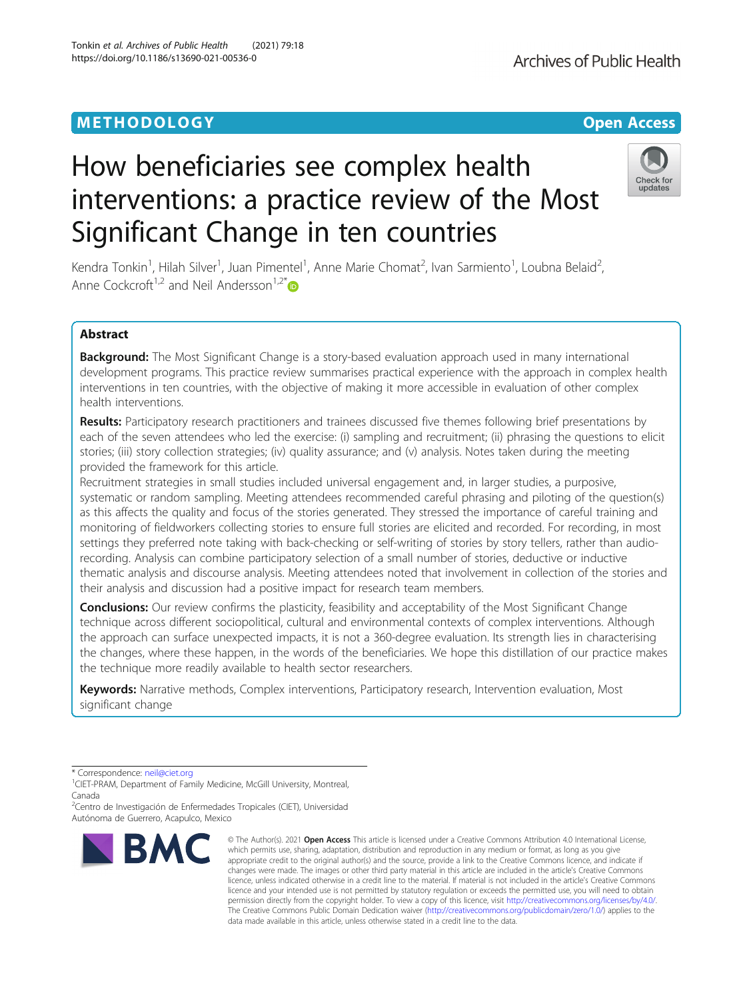## **METHODOLOGY CONSUMING ACCESS CONSUMING ACCESS**

# How beneficiaries see complex health interventions: a practice review of the Most Significant Change in ten countries

Kendra Tonkin<sup>1</sup>, Hilah Silver<sup>1</sup>, Juan Pimentel<sup>1</sup>, Anne Marie Chomat<sup>2</sup>, Ivan Sarmiento<sup>1</sup>, Loubna Belaid<sup>2</sup> , Anne Cockcroft<sup>1,2</sup> and Neil Andersson<sup>1,2[\\*](http://orcid.org/0000-0003-1121-6918)</sup>

### Abstract

Background: The Most Significant Change is a story-based evaluation approach used in many international development programs. This practice review summarises practical experience with the approach in complex health interventions in ten countries, with the objective of making it more accessible in evaluation of other complex health interventions.

Results: Participatory research practitioners and trainees discussed five themes following brief presentations by each of the seven attendees who led the exercise: (i) sampling and recruitment; (ii) phrasing the questions to elicit stories; (iii) story collection strategies; (iv) quality assurance; and (v) analysis. Notes taken during the meeting provided the framework for this article.

Recruitment strategies in small studies included universal engagement and, in larger studies, a purposive, systematic or random sampling. Meeting attendees recommended careful phrasing and piloting of the question(s) as this affects the quality and focus of the stories generated. They stressed the importance of careful training and monitoring of fieldworkers collecting stories to ensure full stories are elicited and recorded. For recording, in most settings they preferred note taking with back-checking or self-writing of stories by story tellers, rather than audiorecording. Analysis can combine participatory selection of a small number of stories, deductive or inductive thematic analysis and discourse analysis. Meeting attendees noted that involvement in collection of the stories and their analysis and discussion had a positive impact for research team members.

**Conclusions:** Our review confirms the plasticity, feasibility and acceptability of the Most Significant Change technique across different sociopolitical, cultural and environmental contexts of complex interventions. Although the approach can surface unexpected impacts, it is not a 360-degree evaluation. Its strength lies in characterising the changes, where these happen, in the words of the beneficiaries. We hope this distillation of our practice makes the technique more readily available to health sector researchers.

Keywords: Narrative methods, Complex interventions, Participatory research, Intervention evaluation, Most significant change

<sup>2</sup>Centro de Investigación de Enfermedades Tropicales (CIET), Universidad Autónoma de Guerrero, Acapulco, Mexico









<sup>©</sup> The Author(s), 2021 **Open Access** This article is licensed under a Creative Commons Attribution 4.0 International License, which permits use, sharing, adaptation, distribution and reproduction in any medium or format, as long as you give appropriate credit to the original author(s) and the source, provide a link to the Creative Commons licence, and indicate if changes were made. The images or other third party material in this article are included in the article's Creative Commons licence, unless indicated otherwise in a credit line to the material. If material is not included in the article's Creative Commons licence and your intended use is not permitted by statutory regulation or exceeds the permitted use, you will need to obtain permission directly from the copyright holder. To view a copy of this licence, visit [http://creativecommons.org/licenses/by/4.0/.](http://creativecommons.org/licenses/by/4.0/) The Creative Commons Public Domain Dedication waiver [\(http://creativecommons.org/publicdomain/zero/1.0/](http://creativecommons.org/publicdomain/zero/1.0/)) applies to the data made available in this article, unless otherwise stated in a credit line to the data.

<sup>\*</sup> Correspondence: [neil@ciet.org](mailto:neil@ciet.org)<br><sup>1</sup>CIET-PRAM, Department of Family Medicine, McGill University, Montreal, Canada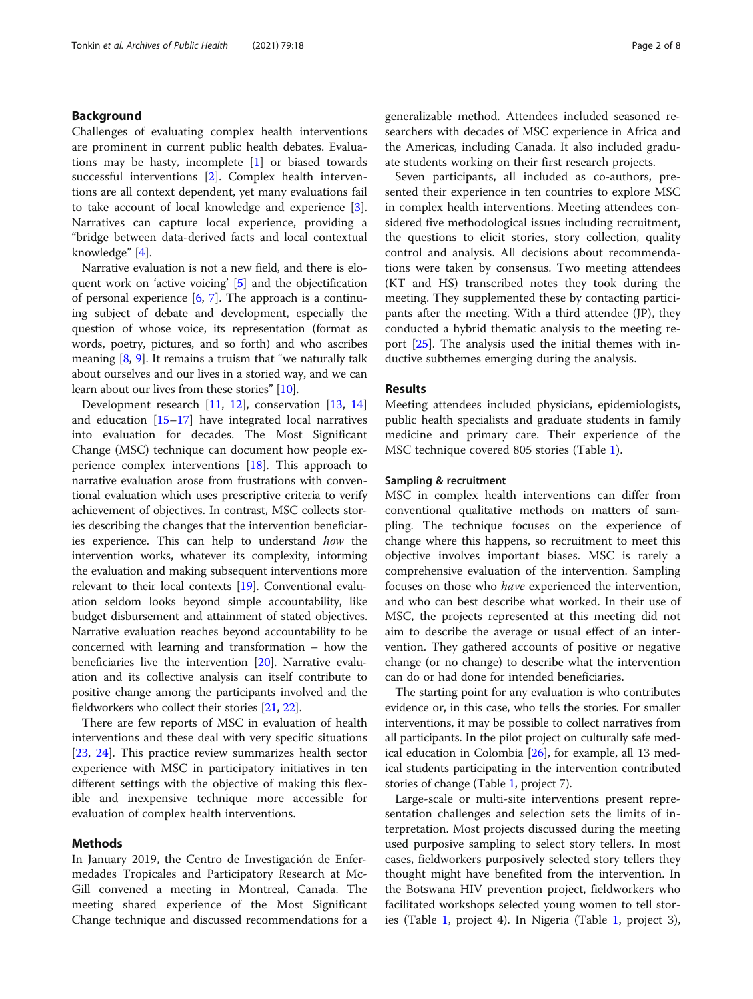#### Background

Challenges of evaluating complex health interventions are prominent in current public health debates. Evaluations may be hasty, incomplete  $[1]$  $[1]$  or biased towards successful interventions [[2\]](#page-7-0). Complex health interventions are all context dependent, yet many evaluations fail to take account of local knowledge and experience [\[3](#page-7-0)]. Narratives can capture local experience, providing a "bridge between data-derived facts and local contextual knowledge" [[4\]](#page-7-0).

Narrative evaluation is not a new field, and there is eloquent work on 'active voicing' [\[5](#page-7-0)] and the objectification of personal experience  $[6, 7]$  $[6, 7]$  $[6, 7]$  $[6, 7]$ . The approach is a continuing subject of debate and development, especially the question of whose voice, its representation (format as words, poetry, pictures, and so forth) and who ascribes meaning [\[8](#page-7-0), [9](#page-7-0)]. It remains a truism that "we naturally talk about ourselves and our lives in a storied way, and we can learn about our lives from these stories" [[10](#page-7-0)].

Development research [\[11](#page-7-0), [12\]](#page-7-0), conservation [\[13,](#page-7-0) [14](#page-7-0)] and education [\[15](#page-7-0)–[17\]](#page-7-0) have integrated local narratives into evaluation for decades. The Most Significant Change (MSC) technique can document how people experience complex interventions [[18\]](#page-7-0). This approach to narrative evaluation arose from frustrations with conventional evaluation which uses prescriptive criteria to verify achievement of objectives. In contrast, MSC collects stories describing the changes that the intervention beneficiaries experience. This can help to understand how the intervention works, whatever its complexity, informing the evaluation and making subsequent interventions more relevant to their local contexts [\[19\]](#page-7-0). Conventional evaluation seldom looks beyond simple accountability, like budget disbursement and attainment of stated objectives. Narrative evaluation reaches beyond accountability to be concerned with learning and transformation – how the beneficiaries live the intervention [\[20\]](#page-7-0). Narrative evaluation and its collective analysis can itself contribute to positive change among the participants involved and the fieldworkers who collect their stories [\[21](#page-7-0), [22](#page-7-0)].

There are few reports of MSC in evaluation of health interventions and these deal with very specific situations [[23,](#page-7-0) [24\]](#page-7-0). This practice review summarizes health sector experience with MSC in participatory initiatives in ten different settings with the objective of making this flexible and inexpensive technique more accessible for evaluation of complex health interventions.

#### Methods

In January 2019, the Centro de Investigación de Enfermedades Tropicales and Participatory Research at Mc-Gill convened a meeting in Montreal, Canada. The meeting shared experience of the Most Significant Change technique and discussed recommendations for a generalizable method. Attendees included seasoned researchers with decades of MSC experience in Africa and the Americas, including Canada. It also included graduate students working on their first research projects.

Seven participants, all included as co-authors, presented their experience in ten countries to explore MSC in complex health interventions. Meeting attendees considered five methodological issues including recruitment, the questions to elicit stories, story collection, quality control and analysis. All decisions about recommendations were taken by consensus. Two meeting attendees (KT and HS) transcribed notes they took during the meeting. They supplemented these by contacting participants after the meeting. With a third attendee (JP), they conducted a hybrid thematic analysis to the meeting report [\[25](#page-7-0)]. The analysis used the initial themes with inductive subthemes emerging during the analysis.

#### Results

Meeting attendees included physicians, epidemiologists, public health specialists and graduate students in family medicine and primary care. Their experience of the MSC technique covered 805 stories (Table [1](#page-2-0)).

#### Sampling & recruitment

MSC in complex health interventions can differ from conventional qualitative methods on matters of sampling. The technique focuses on the experience of change where this happens, so recruitment to meet this objective involves important biases. MSC is rarely a comprehensive evaluation of the intervention. Sampling focuses on those who have experienced the intervention, and who can best describe what worked. In their use of MSC, the projects represented at this meeting did not aim to describe the average or usual effect of an intervention. They gathered accounts of positive or negative change (or no change) to describe what the intervention can do or had done for intended beneficiaries.

The starting point for any evaluation is who contributes evidence or, in this case, who tells the stories. For smaller interventions, it may be possible to collect narratives from all participants. In the pilot project on culturally safe medical education in Colombia [\[26](#page-7-0)], for example, all 13 medical students participating in the intervention contributed stories of change (Table [1,](#page-2-0) project 7).

Large-scale or multi-site interventions present representation challenges and selection sets the limits of interpretation. Most projects discussed during the meeting used purposive sampling to select story tellers. In most cases, fieldworkers purposively selected story tellers they thought might have benefited from the intervention. In the Botswana HIV prevention project, fieldworkers who facilitated workshops selected young women to tell stories (Table [1,](#page-2-0) project 4). In Nigeria (Table [1,](#page-2-0) project 3),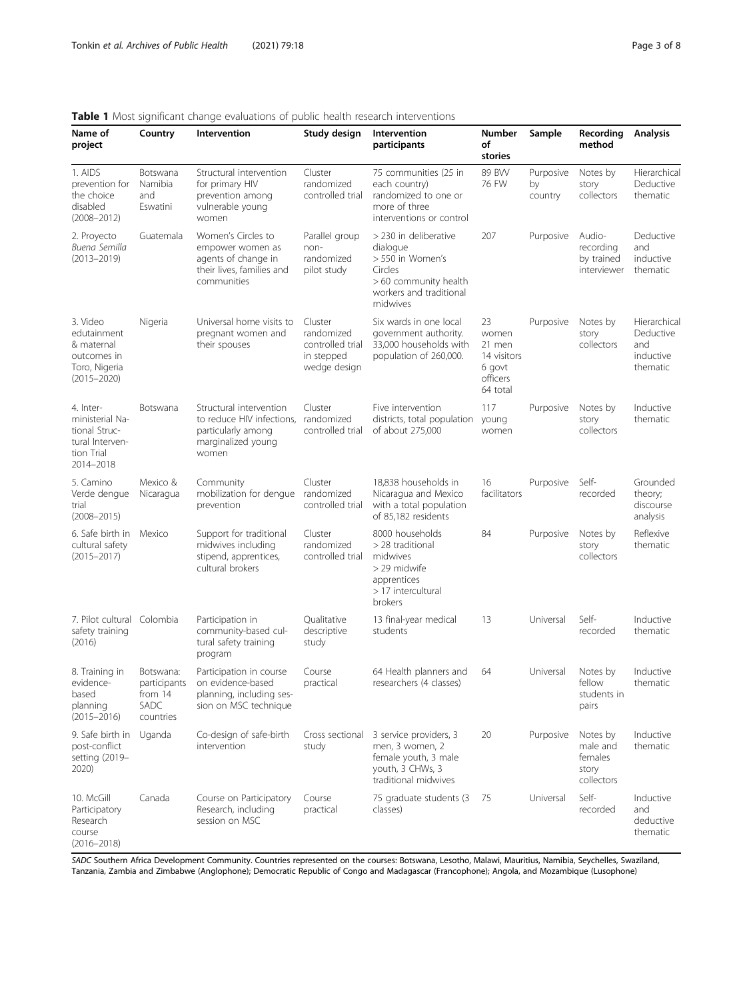#### <span id="page-2-0"></span>Table 1 Most significant change evaluations of public health research interventions

| Name of<br>project                                                                          | Country                                                   | Intervention                                                                                              | Study design                                                            | Intervention<br>participants                                                                                                     | Number<br>οf<br>stories                                                | Sample                     | Recording<br>method                                    | <b>Analysis</b>                                           |
|---------------------------------------------------------------------------------------------|-----------------------------------------------------------|-----------------------------------------------------------------------------------------------------------|-------------------------------------------------------------------------|----------------------------------------------------------------------------------------------------------------------------------|------------------------------------------------------------------------|----------------------------|--------------------------------------------------------|-----------------------------------------------------------|
| 1. AIDS<br>prevention for<br>the choice<br>disabled<br>$(2008 - 2012)$                      | Botswana<br>Namibia<br>and<br>Eswatini                    | Structural intervention<br>for primary HIV<br>prevention among<br>vulnerable young<br>women               | Cluster<br>randomized<br>controlled trial                               | 75 communities (25 in<br>each country)<br>randomized to one or<br>more of three<br>interventions or control                      | 89 BW<br>76 FW                                                         | Purposive<br>by<br>country | Notes by<br>story<br>collectors                        | Hierarchical<br>Deductive<br>thematic                     |
| 2. Proyecto<br>Buena Semilla<br>$(2013 - 2019)$                                             | Guatemala                                                 | Women's Circles to<br>empower women as<br>agents of change in<br>their lives, families and<br>communities | Parallel group<br>non-<br>randomized<br>pilot study                     | > 230 in deliberative<br>dialogue<br>> 550 in Women's<br>Circles<br>> 60 community health<br>workers and traditional<br>midwives | 207                                                                    | Purposive                  | Audio-<br>recording<br>by trained<br>interviewer       | Deductive<br>and<br>inductive<br>thematic                 |
| 3. Video<br>edutainment<br>& maternal<br>outcomes in<br>Toro, Nigeria<br>$(2015 - 2020)$    | Nigeria                                                   | Universal home visits to<br>pregnant women and<br>their spouses                                           | Cluster<br>randomized<br>controlled trial<br>in stepped<br>wedge design | Six wards in one local<br>government authority.<br>33,000 households with<br>population of 260,000.                              | 23<br>women<br>21 men<br>14 visitors<br>6 govt<br>officers<br>64 total | Purposive                  | Notes by<br>story<br>collectors                        | Hierarchical<br>Deductive<br>and<br>inductive<br>thematic |
| 4. Inter-<br>ministerial Na-<br>tional Struc-<br>tural Interven-<br>tion Trial<br>2014-2018 | Botswana                                                  | Structural intervention<br>to reduce HIV infections,<br>particularly among<br>marginalized young<br>women | Cluster<br>randomized<br>controlled trial                               | Five intervention<br>districts, total population<br>of about 275,000                                                             | 117<br>young<br>women                                                  | Purposive                  | Notes by<br>story<br>collectors                        | Inductive<br>thematic                                     |
| 5. Camino<br>Verde dengue<br>trial<br>$(2008 - 2015)$                                       | Mexico &<br>Nicaragua                                     | Community<br>mobilization for dengue<br>prevention                                                        | Cluster<br>randomized<br>controlled trial                               | 18,838 households in<br>Nicaragua and Mexico<br>with a total population<br>of 85,182 residents                                   | 16<br>facilitators                                                     | Purposive                  | Self-<br>recorded                                      | Grounded<br>theory;<br>discourse<br>analysis              |
| 6. Safe birth in<br>cultural safety<br>$(2015 - 2017)$                                      | Mexico                                                    | Support for traditional<br>midwives including<br>stipend, apprentices,<br>cultural brokers                | Cluster<br>randomized<br>controlled trial                               | 8000 households<br>> 28 traditional<br>midwives<br>> 29 midwife<br>apprentices<br>> 17 intercultural<br>brokers                  | 84                                                                     | Purposive                  | Notes by<br>story<br>collectors                        | Reflexive<br>thematic                                     |
| 7. Pilot cultural Colombia<br>safety training<br>(2016)                                     |                                                           | Participation in<br>community-based cul-<br>tural safety training<br>program                              | Qualitative<br>descriptive<br>study                                     | 13 final-year medical<br>students                                                                                                | 13                                                                     | Universal                  | Self-<br>recorded                                      | Inductive<br>thematic                                     |
| 8. Training in<br>evidence-<br>based<br>planning<br>$(2015 - 2016)$                         | Botswana:<br>participants<br>from 14<br>SADC<br>countries | Participation in course<br>on evidence-based<br>planning, including ses-<br>sion on MSC technique         | Course<br>practical                                                     | 64 Health planners and<br>researchers (4 classes)                                                                                | 64                                                                     | Universal                  | Notes by<br>fellow<br>students in<br>pairs             | Inductive<br>thematic                                     |
| 9. Safe birth in<br>post-conflict<br>setting (2019-<br>2020)                                | Uganda                                                    | Co-design of safe-birth<br>intervention                                                                   | Cross sectional<br>study                                                | 3 service providers, 3<br>men, 3 women, 2<br>female youth, 3 male<br>youth, 3 CHWs, 3<br>traditional midwives                    | 20                                                                     | Purposive                  | Notes by<br>male and<br>females<br>story<br>collectors | Inductive<br>thematic                                     |
| 10. McGill<br>Participatory<br>Research<br>course<br>$(2016 - 2018)$                        | Canada                                                    | Course on Participatory<br>Research, including<br>session on MSC                                          | Course<br>practical                                                     | 75 graduate students (3<br>classes)                                                                                              | 75                                                                     | Universal                  | Self-<br>recorded                                      | Inductive<br>and<br>deductive<br>thematic                 |

SADC Southern Africa Development Community. Countries represented on the courses: Botswana, Lesotho, Malawi, Mauritius, Namibia, Seychelles, Swaziland, Tanzania, Zambia and Zimbabwe (Anglophone); Democratic Republic of Congo and Madagascar (Francophone); Angola, and Mozambique (Lusophone)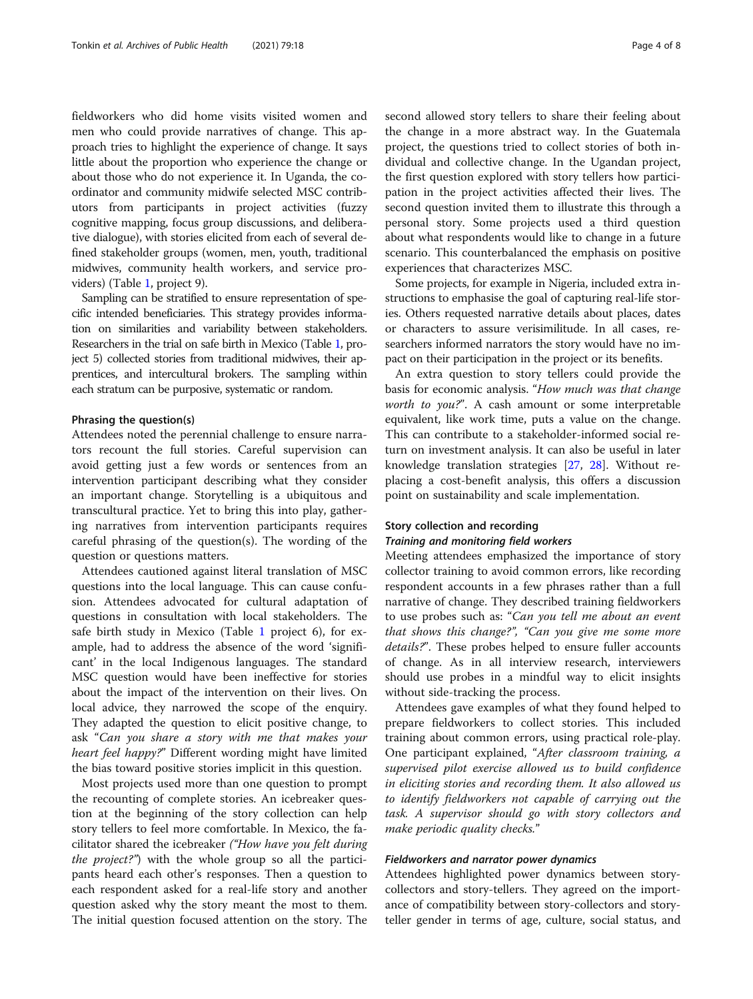fieldworkers who did home visits visited women and men who could provide narratives of change. This approach tries to highlight the experience of change. It says little about the proportion who experience the change or about those who do not experience it. In Uganda, the coordinator and community midwife selected MSC contributors from participants in project activities (fuzzy cognitive mapping, focus group discussions, and deliberative dialogue), with stories elicited from each of several defined stakeholder groups (women, men, youth, traditional midwives, community health workers, and service providers) (Table [1](#page-2-0), project 9).

Sampling can be stratified to ensure representation of specific intended beneficiaries. This strategy provides information on similarities and variability between stakeholders. Researchers in the trial on safe birth in Mexico (Table [1](#page-2-0), project 5) collected stories from traditional midwives, their apprentices, and intercultural brokers. The sampling within each stratum can be purposive, systematic or random.

#### Phrasing the question(s)

Attendees noted the perennial challenge to ensure narrators recount the full stories. Careful supervision can avoid getting just a few words or sentences from an intervention participant describing what they consider an important change. Storytelling is a ubiquitous and transcultural practice. Yet to bring this into play, gathering narratives from intervention participants requires careful phrasing of the question(s). The wording of the question or questions matters.

Attendees cautioned against literal translation of MSC questions into the local language. This can cause confusion. Attendees advocated for cultural adaptation of questions in consultation with local stakeholders. The safe birth study in Mexico (Table [1](#page-2-0) project 6), for example, had to address the absence of the word 'significant' in the local Indigenous languages. The standard MSC question would have been ineffective for stories about the impact of the intervention on their lives. On local advice, they narrowed the scope of the enquiry. They adapted the question to elicit positive change, to ask "Can you share a story with me that makes your heart feel happy?" Different wording might have limited the bias toward positive stories implicit in this question.

Most projects used more than one question to prompt the recounting of complete stories. An icebreaker question at the beginning of the story collection can help story tellers to feel more comfortable. In Mexico, the facilitator shared the icebreaker ("How have you felt during the project?") with the whole group so all the participants heard each other's responses. Then a question to each respondent asked for a real-life story and another question asked why the story meant the most to them. The initial question focused attention on the story. The second allowed story tellers to share their feeling about the change in a more abstract way. In the Guatemala project, the questions tried to collect stories of both individual and collective change. In the Ugandan project, the first question explored with story tellers how participation in the project activities affected their lives. The second question invited them to illustrate this through a personal story. Some projects used a third question about what respondents would like to change in a future scenario. This counterbalanced the emphasis on positive experiences that characterizes MSC.

Some projects, for example in Nigeria, included extra instructions to emphasise the goal of capturing real-life stories. Others requested narrative details about places, dates or characters to assure verisimilitude. In all cases, researchers informed narrators the story would have no impact on their participation in the project or its benefits.

An extra question to story tellers could provide the basis for economic analysis. "How much was that change worth to you?". A cash amount or some interpretable equivalent, like work time, puts a value on the change. This can contribute to a stakeholder-informed social return on investment analysis. It can also be useful in later knowledge translation strategies [\[27](#page-7-0), [28](#page-7-0)]. Without replacing a cost-benefit analysis, this offers a discussion point on sustainability and scale implementation.

#### Story collection and recording

#### Training and monitoring field workers

Meeting attendees emphasized the importance of story collector training to avoid common errors, like recording respondent accounts in a few phrases rather than a full narrative of change. They described training fieldworkers to use probes such as: "Can you tell me about an event that shows this change?", "Can you give me some more details?". These probes helped to ensure fuller accounts of change. As in all interview research, interviewers should use probes in a mindful way to elicit insights without side-tracking the process.

Attendees gave examples of what they found helped to prepare fieldworkers to collect stories. This included training about common errors, using practical role-play. One participant explained, "After classroom training, a supervised pilot exercise allowed us to build confidence in eliciting stories and recording them. It also allowed us to identify fieldworkers not capable of carrying out the task. A supervisor should go with story collectors and make periodic quality checks."

#### Fieldworkers and narrator power dynamics

Attendees highlighted power dynamics between storycollectors and story-tellers. They agreed on the importance of compatibility between story-collectors and storyteller gender in terms of age, culture, social status, and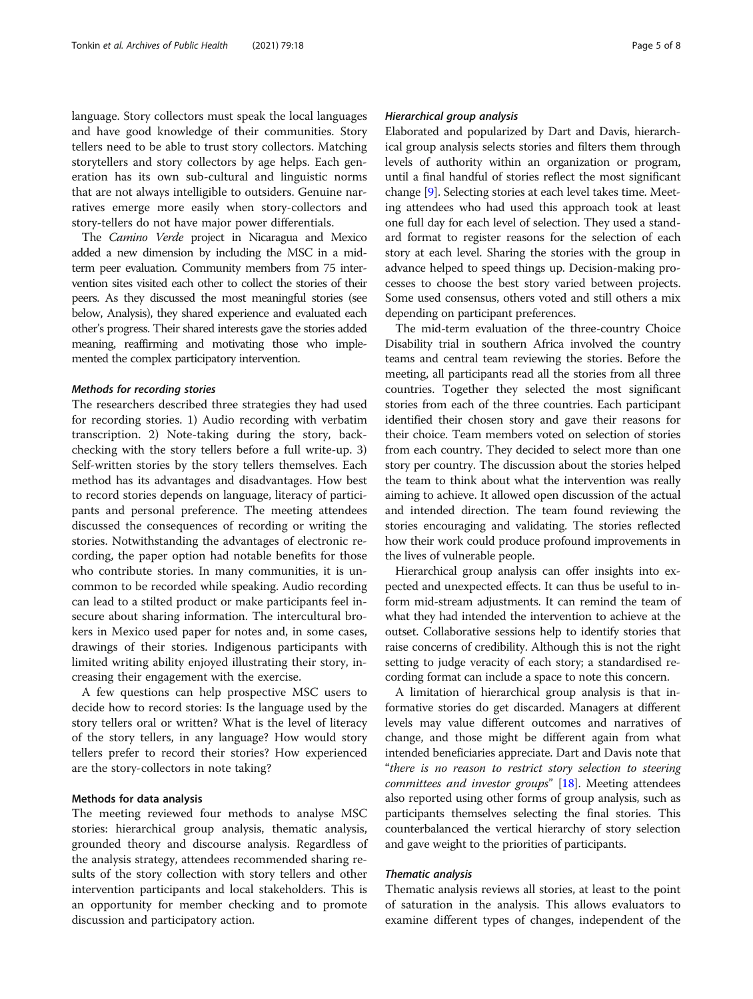language. Story collectors must speak the local languages and have good knowledge of their communities. Story tellers need to be able to trust story collectors. Matching storytellers and story collectors by age helps. Each generation has its own sub-cultural and linguistic norms that are not always intelligible to outsiders. Genuine narratives emerge more easily when story-collectors and story-tellers do not have major power differentials.

The Camino Verde project in Nicaragua and Mexico added a new dimension by including the MSC in a midterm peer evaluation. Community members from 75 intervention sites visited each other to collect the stories of their peers. As they discussed the most meaningful stories (see below, Analysis), they shared experience and evaluated each other's progress. Their shared interests gave the stories added meaning, reaffirming and motivating those who implemented the complex participatory intervention.

#### Methods for recording stories

The researchers described three strategies they had used for recording stories. 1) Audio recording with verbatim transcription. 2) Note-taking during the story, backchecking with the story tellers before a full write-up. 3) Self-written stories by the story tellers themselves. Each method has its advantages and disadvantages. How best to record stories depends on language, literacy of participants and personal preference. The meeting attendees discussed the consequences of recording or writing the stories. Notwithstanding the advantages of electronic recording, the paper option had notable benefits for those who contribute stories. In many communities, it is uncommon to be recorded while speaking. Audio recording can lead to a stilted product or make participants feel insecure about sharing information. The intercultural brokers in Mexico used paper for notes and, in some cases, drawings of their stories. Indigenous participants with limited writing ability enjoyed illustrating their story, increasing their engagement with the exercise.

A few questions can help prospective MSC users to decide how to record stories: Is the language used by the story tellers oral or written? What is the level of literacy of the story tellers, in any language? How would story tellers prefer to record their stories? How experienced are the story-collectors in note taking?

#### Methods for data analysis

The meeting reviewed four methods to analyse MSC stories: hierarchical group analysis, thematic analysis, grounded theory and discourse analysis. Regardless of the analysis strategy, attendees recommended sharing results of the story collection with story tellers and other intervention participants and local stakeholders. This is an opportunity for member checking and to promote discussion and participatory action.

#### Hierarchical group analysis

Elaborated and popularized by Dart and Davis, hierarchical group analysis selects stories and filters them through levels of authority within an organization or program, until a final handful of stories reflect the most significant change [\[9](#page-7-0)]. Selecting stories at each level takes time. Meeting attendees who had used this approach took at least one full day for each level of selection. They used a standard format to register reasons for the selection of each story at each level. Sharing the stories with the group in advance helped to speed things up. Decision-making processes to choose the best story varied between projects. Some used consensus, others voted and still others a mix depending on participant preferences.

The mid-term evaluation of the three-country Choice Disability trial in southern Africa involved the country teams and central team reviewing the stories. Before the meeting, all participants read all the stories from all three countries. Together they selected the most significant stories from each of the three countries. Each participant identified their chosen story and gave their reasons for their choice. Team members voted on selection of stories from each country. They decided to select more than one story per country. The discussion about the stories helped the team to think about what the intervention was really aiming to achieve. It allowed open discussion of the actual and intended direction. The team found reviewing the stories encouraging and validating. The stories reflected how their work could produce profound improvements in the lives of vulnerable people.

Hierarchical group analysis can offer insights into expected and unexpected effects. It can thus be useful to inform mid-stream adjustments. It can remind the team of what they had intended the intervention to achieve at the outset. Collaborative sessions help to identify stories that raise concerns of credibility. Although this is not the right setting to judge veracity of each story; a standardised recording format can include a space to note this concern.

A limitation of hierarchical group analysis is that informative stories do get discarded. Managers at different levels may value different outcomes and narratives of change, and those might be different again from what intended beneficiaries appreciate. Dart and Davis note that "there is no reason to restrict story selection to steering committees and investor groups" [[18](#page-7-0)]. Meeting attendees also reported using other forms of group analysis, such as participants themselves selecting the final stories. This counterbalanced the vertical hierarchy of story selection and gave weight to the priorities of participants.

#### Thematic analysis

Thematic analysis reviews all stories, at least to the point of saturation in the analysis. This allows evaluators to examine different types of changes, independent of the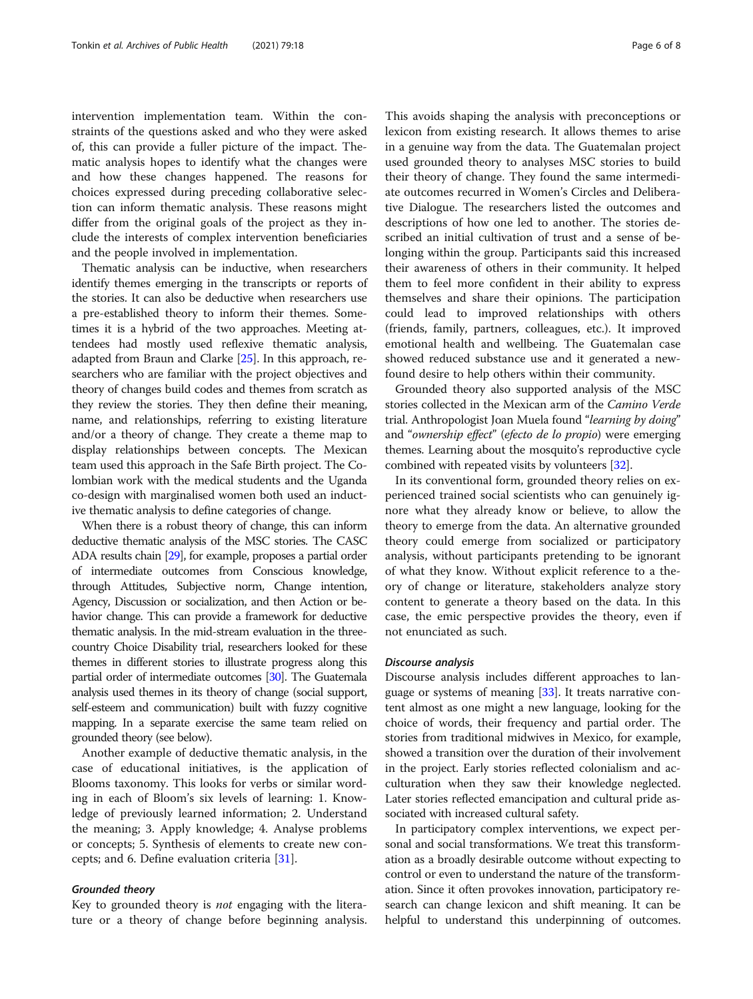intervention implementation team. Within the constraints of the questions asked and who they were asked of, this can provide a fuller picture of the impact. Thematic analysis hopes to identify what the changes were and how these changes happened. The reasons for choices expressed during preceding collaborative selection can inform thematic analysis. These reasons might differ from the original goals of the project as they include the interests of complex intervention beneficiaries and the people involved in implementation.

Thematic analysis can be inductive, when researchers identify themes emerging in the transcripts or reports of the stories. It can also be deductive when researchers use a pre-established theory to inform their themes. Sometimes it is a hybrid of the two approaches. Meeting attendees had mostly used reflexive thematic analysis, adapted from Braun and Clarke [\[25](#page-7-0)]. In this approach, researchers who are familiar with the project objectives and theory of changes build codes and themes from scratch as they review the stories. They then define their meaning, name, and relationships, referring to existing literature and/or a theory of change. They create a theme map to display relationships between concepts. The Mexican team used this approach in the Safe Birth project. The Colombian work with the medical students and the Uganda co-design with marginalised women both used an inductive thematic analysis to define categories of change.

When there is a robust theory of change, this can inform deductive thematic analysis of the MSC stories. The CASC ADA results chain [\[29](#page-7-0)], for example, proposes a partial order of intermediate outcomes from Conscious knowledge, through Attitudes, Subjective norm, Change intention, Agency, Discussion or socialization, and then Action or behavior change. This can provide a framework for deductive thematic analysis. In the mid-stream evaluation in the threecountry Choice Disability trial, researchers looked for these themes in different stories to illustrate progress along this partial order of intermediate outcomes [\[30](#page-7-0)]. The Guatemala analysis used themes in its theory of change (social support, self-esteem and communication) built with fuzzy cognitive mapping. In a separate exercise the same team relied on grounded theory (see below).

Another example of deductive thematic analysis, in the case of educational initiatives, is the application of Blooms taxonomy. This looks for verbs or similar wording in each of Bloom's six levels of learning: 1. Knowledge of previously learned information; 2. Understand the meaning; 3. Apply knowledge; 4. Analyse problems or concepts; 5. Synthesis of elements to create new concepts; and 6. Define evaluation criteria [\[31\]](#page-7-0).

#### Grounded theory

Key to grounded theory is *not* engaging with the literature or a theory of change before beginning analysis.

This avoids shaping the analysis with preconceptions or lexicon from existing research. It allows themes to arise in a genuine way from the data. The Guatemalan project used grounded theory to analyses MSC stories to build their theory of change. They found the same intermediate outcomes recurred in Women's Circles and Deliberative Dialogue. The researchers listed the outcomes and descriptions of how one led to another. The stories described an initial cultivation of trust and a sense of belonging within the group. Participants said this increased their awareness of others in their community. It helped them to feel more confident in their ability to express themselves and share their opinions. The participation could lead to improved relationships with others (friends, family, partners, colleagues, etc.). It improved emotional health and wellbeing. The Guatemalan case showed reduced substance use and it generated a newfound desire to help others within their community.

Grounded theory also supported analysis of the MSC stories collected in the Mexican arm of the Camino Verde trial. Anthropologist Joan Muela found "learning by doing" and "ownership effect" (efecto de lo propio) were emerging themes. Learning about the mosquito's reproductive cycle combined with repeated visits by volunteers [[32](#page-7-0)].

In its conventional form, grounded theory relies on experienced trained social scientists who can genuinely ignore what they already know or believe, to allow the theory to emerge from the data. An alternative grounded theory could emerge from socialized or participatory analysis, without participants pretending to be ignorant of what they know. Without explicit reference to a theory of change or literature, stakeholders analyze story content to generate a theory based on the data. In this case, the emic perspective provides the theory, even if not enunciated as such.

#### Discourse analysis

Discourse analysis includes different approaches to language or systems of meaning [[33](#page-7-0)]. It treats narrative content almost as one might a new language, looking for the choice of words, their frequency and partial order. The stories from traditional midwives in Mexico, for example, showed a transition over the duration of their involvement in the project. Early stories reflected colonialism and acculturation when they saw their knowledge neglected. Later stories reflected emancipation and cultural pride associated with increased cultural safety.

In participatory complex interventions, we expect personal and social transformations. We treat this transformation as a broadly desirable outcome without expecting to control or even to understand the nature of the transformation. Since it often provokes innovation, participatory research can change lexicon and shift meaning. It can be helpful to understand this underpinning of outcomes.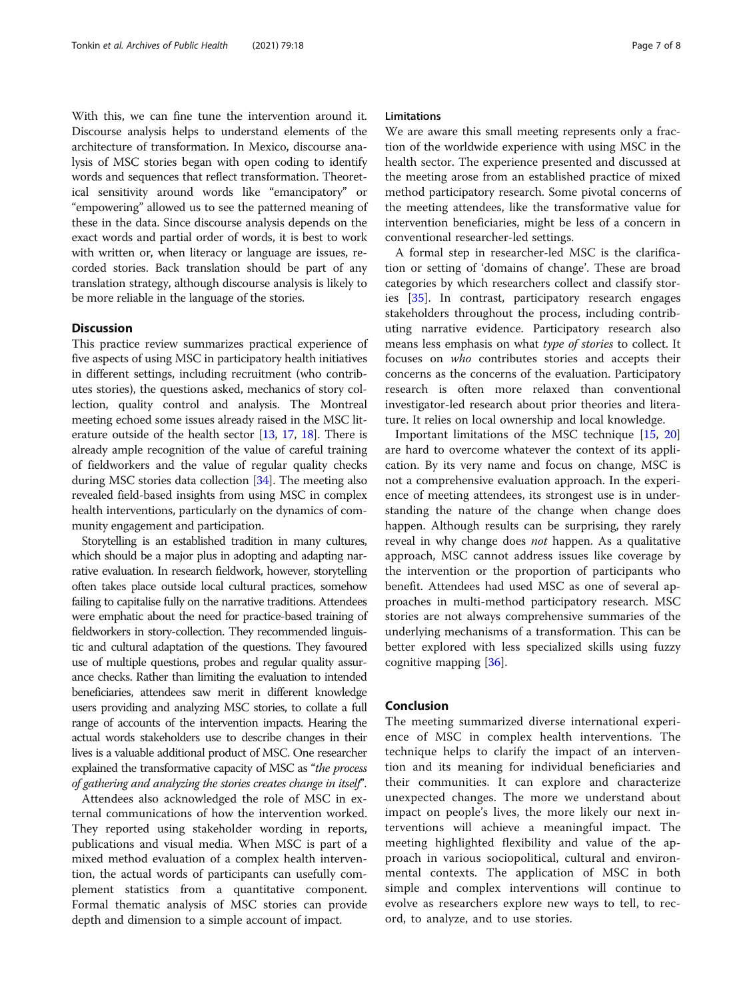With this, we can fine tune the intervention around it. Discourse analysis helps to understand elements of the architecture of transformation. In Mexico, discourse analysis of MSC stories began with open coding to identify words and sequences that reflect transformation. Theoretical sensitivity around words like "emancipatory" or "empowering" allowed us to see the patterned meaning of these in the data. Since discourse analysis depends on the exact words and partial order of words, it is best to work with written or, when literacy or language are issues, recorded stories. Back translation should be part of any translation strategy, although discourse analysis is likely to be more reliable in the language of the stories.

#### **Discussion**

This practice review summarizes practical experience of five aspects of using MSC in participatory health initiatives in different settings, including recruitment (who contributes stories), the questions asked, mechanics of story collection, quality control and analysis. The Montreal meeting echoed some issues already raised in the MSC literature outside of the health sector [[13](#page-7-0), [17,](#page-7-0) [18](#page-7-0)]. There is already ample recognition of the value of careful training of fieldworkers and the value of regular quality checks during MSC stories data collection [\[34\]](#page-7-0). The meeting also revealed field-based insights from using MSC in complex health interventions, particularly on the dynamics of community engagement and participation.

Storytelling is an established tradition in many cultures, which should be a major plus in adopting and adapting narrative evaluation. In research fieldwork, however, storytelling often takes place outside local cultural practices, somehow failing to capitalise fully on the narrative traditions. Attendees were emphatic about the need for practice-based training of fieldworkers in story-collection. They recommended linguistic and cultural adaptation of the questions. They favoured use of multiple questions, probes and regular quality assurance checks. Rather than limiting the evaluation to intended beneficiaries, attendees saw merit in different knowledge users providing and analyzing MSC stories, to collate a full range of accounts of the intervention impacts. Hearing the actual words stakeholders use to describe changes in their lives is a valuable additional product of MSC. One researcher explained the transformative capacity of MSC as "the process of gathering and analyzing the stories creates change in itself".

Attendees also acknowledged the role of MSC in external communications of how the intervention worked. They reported using stakeholder wording in reports, publications and visual media. When MSC is part of a mixed method evaluation of a complex health intervention, the actual words of participants can usefully complement statistics from a quantitative component. Formal thematic analysis of MSC stories can provide depth and dimension to a simple account of impact.

#### Limitations

We are aware this small meeting represents only a fraction of the worldwide experience with using MSC in the health sector. The experience presented and discussed at the meeting arose from an established practice of mixed method participatory research. Some pivotal concerns of the meeting attendees, like the transformative value for intervention beneficiaries, might be less of a concern in conventional researcher-led settings.

A formal step in researcher-led MSC is the clarification or setting of 'domains of change'. These are broad categories by which researchers collect and classify stories [[35\]](#page-7-0). In contrast, participatory research engages stakeholders throughout the process, including contributing narrative evidence. Participatory research also means less emphasis on what type of stories to collect. It focuses on who contributes stories and accepts their concerns as the concerns of the evaluation. Participatory research is often more relaxed than conventional investigator-led research about prior theories and literature. It relies on local ownership and local knowledge.

Important limitations of the MSC technique [\[15](#page-7-0), [20](#page-7-0)] are hard to overcome whatever the context of its application. By its very name and focus on change, MSC is not a comprehensive evaluation approach. In the experience of meeting attendees, its strongest use is in understanding the nature of the change when change does happen. Although results can be surprising, they rarely reveal in why change does not happen. As a qualitative approach, MSC cannot address issues like coverage by the intervention or the proportion of participants who benefit. Attendees had used MSC as one of several approaches in multi-method participatory research. MSC stories are not always comprehensive summaries of the underlying mechanisms of a transformation. This can be better explored with less specialized skills using fuzzy cognitive mapping [\[36](#page-7-0)].

#### Conclusion

The meeting summarized diverse international experience of MSC in complex health interventions. The technique helps to clarify the impact of an intervention and its meaning for individual beneficiaries and their communities. It can explore and characterize unexpected changes. The more we understand about impact on people's lives, the more likely our next interventions will achieve a meaningful impact. The meeting highlighted flexibility and value of the approach in various sociopolitical, cultural and environmental contexts. The application of MSC in both simple and complex interventions will continue to evolve as researchers explore new ways to tell, to record, to analyze, and to use stories.